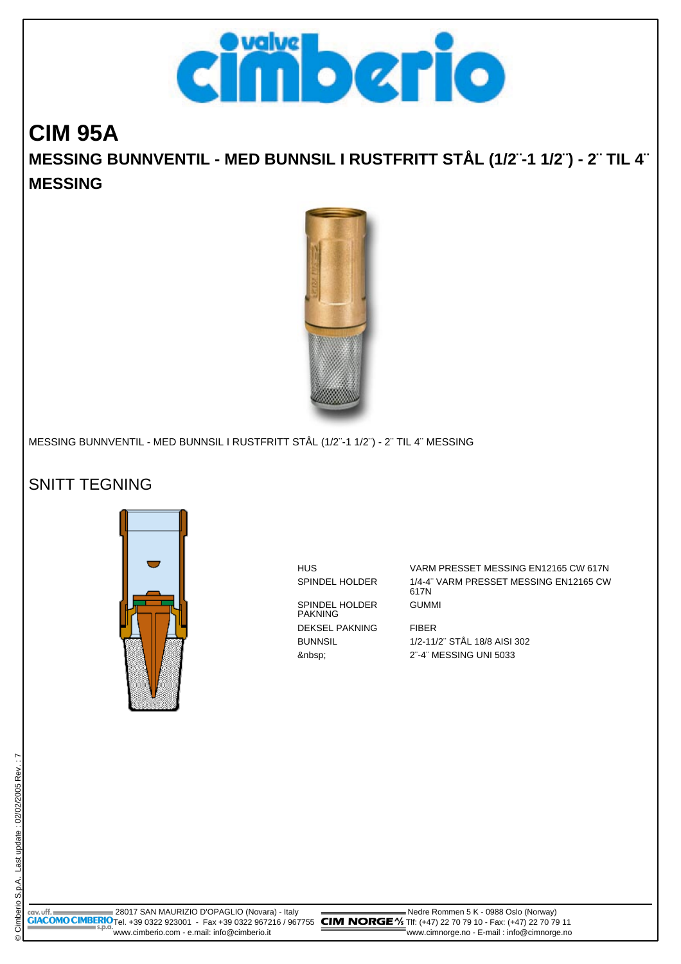

## **CIM 95A MESSING BUNNVENTIL - MED BUNNSIL I RUSTFRITT STÅL (1/2¨-1 1/2¨) - 2¨ TIL 4¨ MESSING**



MESSING BUNNVENTIL - MED BUNNSIL I RUSTFRITT STÅL (1/2¨-1 1/2¨) - 2¨ TIL 4¨ MESSING

## SNITT TEGNING



SPINDEL HOLDER PAKNING DEKSEL PAKNING FIBER

HUS VARM PRESSET MESSING EN12165 CW 617N SPINDEL HOLDER 1/4-4" VARM PRESSET MESSING EN12165 CW 617N GUMMI

BUNNSIL 1/2-11/2¨ STÅL 18/8 AISI 302 2¨-4¨ MESSING UNI 5033

 28017 SAN MAURIZIO D'OPAGLIO (Novara) - Italy Nedre Rommen 5 K - 0988 Oslo (Norway) **GIACOMO CIMBERIO**Tel. +39 0322 923001 - Fax +39 0322 967216 / 967755 **CIM NORGE** "X5 TIf: (+47) 22 70 79 10 - Fax: (+47) 22 70 79 11 www.cimberio.com - e.mail: info@cimberio.it www.cimnorge.no - E-mail : info@cimnorge.no